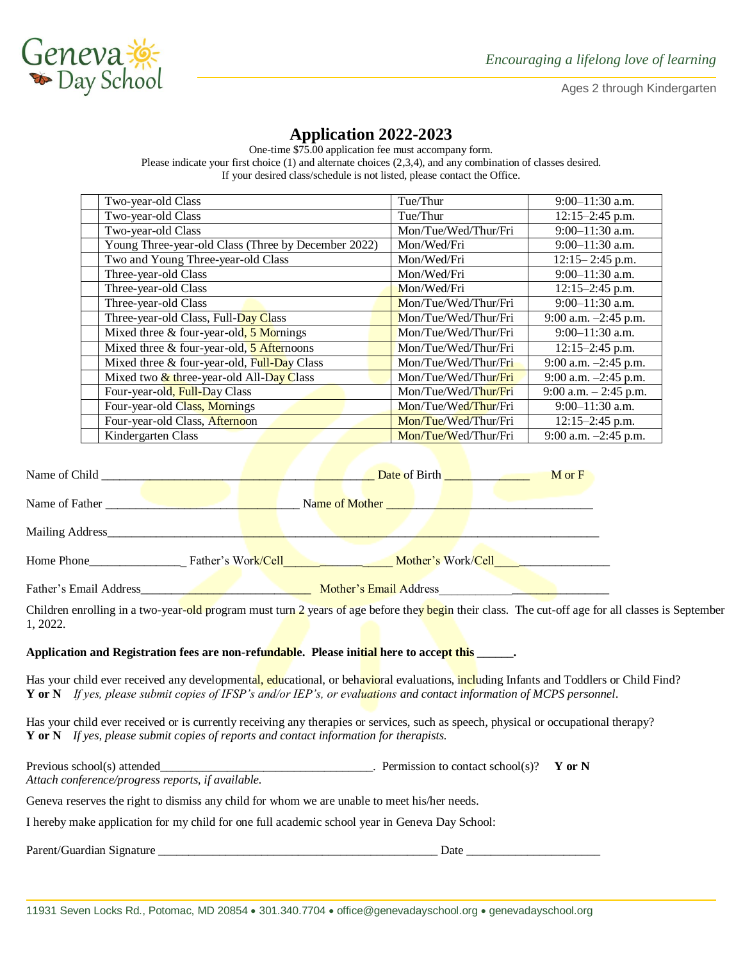



Ages 2 through Kindergarten

# **Application 2022-2023**

One-time \$75.00 application fee must accompany form. Please indicate your first choice (1) and alternate choices (2,3,4), and any combination of classes desired.

If your desired class/schedule is not listed, please contact the Office.

| Two-year-old Class                                  | Tue/Thur             | $9:00-11:30$ a.m.        |
|-----------------------------------------------------|----------------------|--------------------------|
| Two-year-old Class                                  | Tue/Thur             | $12:15 - 2:45$ p.m.      |
| Two-year-old Class                                  | Mon/Tue/Wed/Thur/Fri | 9:00-11:30 a.m.          |
| Young Three-year-old Class (Three by December 2022) | Mon/Wed/Fri          | $9:00-11:30$ a.m.        |
| Two and Young Three-year-old Class                  | Mon/Wed/Fri          | $12:15 - 2:45$ p.m.      |
| Three-year-old Class                                | Mon/Wed/Fri          | $9:00-11:30$ a.m.        |
| Three-year-old Class                                | Mon/Wed/Fri          | $12:15 - 2:45$ p.m.      |
| Three-year-old Class                                | Mon/Tue/Wed/Thur/Fri | 9:00-11:30 a.m.          |
| Three-year-old Class, Full-Day Class                | Mon/Tue/Wed/Thur/Fri | 9:00 a.m. $-2:45$ p.m.   |
| Mixed three $&$ four-year-old, 5 Mornings           | Mon/Tue/Wed/Thur/Fri | $9:00-11:30$ a.m.        |
| Mixed three $&$ four-year-old, $5$ Afternoons       | Mon/Tue/Wed/Thur/Fri | $12:15 - 2:45$ p.m.      |
| Mixed three & four-year-old, Full-Day Class         | Mon/Tue/Wed/Thur/Fri | 9:00 a.m. $-2:45$ p.m.   |
| Mixed two $&$ three-year-old All-Day Class          | Mon/Tue/Wed/Thur/Fri | 9:00 a.m. $-2:45$ p.m.   |
| Four-year-old, Full-Day Class                       | Mon/Tue/Wed/Thur/Fri | 9:00 a.m. $-$ 2:45 p.m.  |
| Four-year-old Class, Mornings                       | Mon/Tue/Wed/Thur/Fri | 9:00-11:30 a.m.          |
| Four-year-old Class, Afternoon                      | Mon/Tue/Wed/Thur/Fri | $12:15 - 2:45$ p.m.      |
| Kindergarten Class                                  | Mon/Tue/Wed/Thur/Fri | $9:00$ a.m. $-2:45$ p.m. |

| Name of Child<br>and the control of the control of the control of the control of the control of the control of the control of the | Date of Birth <b>Exercise Service Service</b><br>M or F |  |  |  |  |
|-----------------------------------------------------------------------------------------------------------------------------------|---------------------------------------------------------|--|--|--|--|
| Name of Father                                                                                                                    | Name of Mother and the state of the state of Mother     |  |  |  |  |
| Mailing Address                                                                                                                   |                                                         |  |  |  |  |
| Home Phone Father's Work/Cell<br>Mother's Work/Cell                                                                               |                                                         |  |  |  |  |
| Father's Email Address                                                                                                            | Mother's Email Address                                  |  |  |  |  |

Children enrolling in a two-year-old program must turn 2 years of age before they begin their class. The cut-off age for all classes is September 1, 2022.

### **Application and Registration fees are non-refundable. Please initial here to accept this \_\_\_\_\_\_.**

Has your child ever received any developmental, educational, or behavioral evaluations, including Infants and Toddlers or Child Find? **Y or N** *If yes, please submit copies of IFSP's and/or IEP's, or evaluations and contact information of MCPS personnel*.

Has your child ever received or is currently receiving any therapies or services, such as speech, physical or occupational therapy? **Y or N** *If yes, please submit copies of reports and contact information for therapists.*

Previous school(s) attended\_\_\_\_\_\_\_\_\_\_\_\_\_\_\_\_\_\_\_\_\_\_\_\_\_\_\_\_\_\_\_\_\_\_\_. Permission to contact school(s)? **Y or N**

*Attach conference/progress reports, if available.*

Geneva reserves the right to dismiss any child for whom we are unable to meet his/her needs.

I hereby make application for my child for one full academic school year in Geneva Day School:

Parent/Guardian Signature \_\_\_\_\_\_\_\_\_\_\_\_\_\_\_\_\_\_\_\_\_\_\_\_\_\_\_\_\_\_\_\_\_\_\_\_\_\_\_\_\_\_\_\_\_\_ Date \_\_\_\_\_\_\_\_\_\_\_\_\_\_\_\_\_\_\_\_\_\_